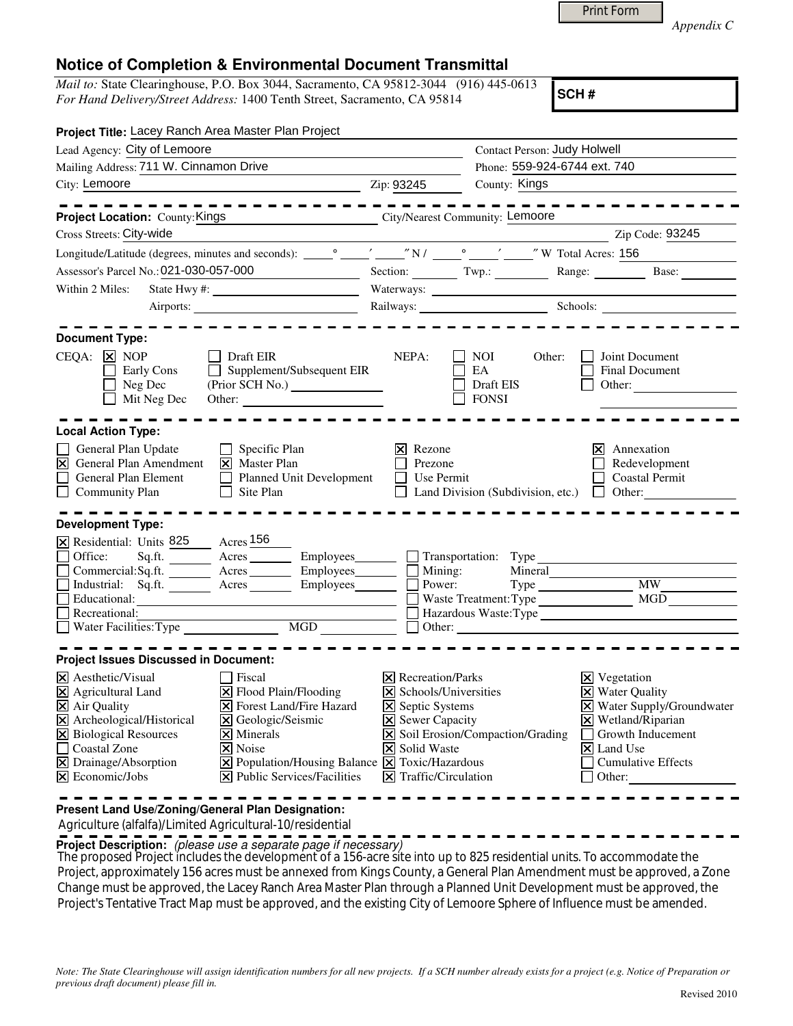|  | <b>Print Form</b> |  |
|--|-------------------|--|
|  |                   |  |

*Appendix C* 

## **Notice of Completion & Environmental Document Transmittal**

*Mail to:* State Clearinghouse, P.O. Box 3044, Sacramento, CA 95812-3044 (916) 445-0613 *For Hand Delivery/Street Address:* 1400 Tenth Street, Sacramento, CA 95814

**SCH #**

| Project Title: Lacey Ranch Area Master Plan Project                                                                                                                                                                                                                                                                                                                                                                                                                                                                                                         |                                                                                                                                                                                          |                                                                                                                                                                                                                                |                                                                                                                                                                                                     |  |
|-------------------------------------------------------------------------------------------------------------------------------------------------------------------------------------------------------------------------------------------------------------------------------------------------------------------------------------------------------------------------------------------------------------------------------------------------------------------------------------------------------------------------------------------------------------|------------------------------------------------------------------------------------------------------------------------------------------------------------------------------------------|--------------------------------------------------------------------------------------------------------------------------------------------------------------------------------------------------------------------------------|-----------------------------------------------------------------------------------------------------------------------------------------------------------------------------------------------------|--|
| Lead Agency: City of Lemoore                                                                                                                                                                                                                                                                                                                                                                                                                                                                                                                                |                                                                                                                                                                                          | <b>Contact Person: Judy Holwell</b>                                                                                                                                                                                            |                                                                                                                                                                                                     |  |
| Mailing Address: 711 W. Cinnamon Drive                                                                                                                                                                                                                                                                                                                                                                                                                                                                                                                      |                                                                                                                                                                                          |                                                                                                                                                                                                                                | Phone: 559-924-6744 ext. 740                                                                                                                                                                        |  |
| City: Lemoore<br><u>2</u> Zip: 93245                                                                                                                                                                                                                                                                                                                                                                                                                                                                                                                        |                                                                                                                                                                                          | County: Kings                                                                                                                                                                                                                  |                                                                                                                                                                                                     |  |
|                                                                                                                                                                                                                                                                                                                                                                                                                                                                                                                                                             |                                                                                                                                                                                          |                                                                                                                                                                                                                                |                                                                                                                                                                                                     |  |
| City/Nearest Community: Lemoore<br>Project Location: County: Kings                                                                                                                                                                                                                                                                                                                                                                                                                                                                                          |                                                                                                                                                                                          |                                                                                                                                                                                                                                |                                                                                                                                                                                                     |  |
| Cross Streets: City-wide                                                                                                                                                                                                                                                                                                                                                                                                                                                                                                                                    |                                                                                                                                                                                          |                                                                                                                                                                                                                                | Zip Code: 93245                                                                                                                                                                                     |  |
|                                                                                                                                                                                                                                                                                                                                                                                                                                                                                                                                                             |                                                                                                                                                                                          |                                                                                                                                                                                                                                |                                                                                                                                                                                                     |  |
| Assessor's Parcel No.: 021-030-057-000                                                                                                                                                                                                                                                                                                                                                                                                                                                                                                                      |                                                                                                                                                                                          |                                                                                                                                                                                                                                | Section: Twp.: Range: Base:                                                                                                                                                                         |  |
| Within 2 Miles:                                                                                                                                                                                                                                                                                                                                                                                                                                                                                                                                             |                                                                                                                                                                                          |                                                                                                                                                                                                                                |                                                                                                                                                                                                     |  |
|                                                                                                                                                                                                                                                                                                                                                                                                                                                                                                                                                             |                                                                                                                                                                                          | Railways: Schools: Schools: 2000 Schools: 2000 Schools: 2000 Schools: 2000 Schools: 2000 Schools: 2000 Schools: 2000 Schools: 2000 Schools: 2000 Schools: 2000 Schools: 2000 Schools: 2000 Schools: 2000 Schools: 2000 Schools |                                                                                                                                                                                                     |  |
| <b>Document Type:</b><br>$CEQA: \times NOP$<br>  Draft EIR<br>Early Cons<br>$\Box$ Supplement/Subsequent EIR<br>Neg Dec<br>Mit Neg Dec<br>Other:                                                                                                                                                                                                                                                                                                                                                                                                            | NEPA:                                                                                                                                                                                    | NOI<br>Other:<br>EA<br>Draft EIS<br><b>FONSI</b>                                                                                                                                                                               | Joint Document<br>Final Document<br>Other:<br>$\perp$                                                                                                                                               |  |
| <b>Local Action Type:</b><br>General Plan Update<br>$\Box$ Specific Plan<br>$\overline{\mathsf{x}}$<br><b>General Plan Amendment</b><br>$\overline{\mathsf{x}}$ Master Plan<br>Planned Unit Development<br>General Plan Element<br>Site Plan<br>$\Box$ Community Plan<br>$\perp$<br><b>Development Type:</b>                                                                                                                                                                                                                                                | $ \mathsf{x} $ Rezone<br>Г<br>Prezone<br>$\Box$ Use Permit                                                                                                                               | Land Division (Subdivision, etc.) $\Box$ Other:                                                                                                                                                                                | $ \mathsf{X} $ Annexation<br>Redevelopment<br><b>Coastal Permit</b>                                                                                                                                 |  |
| X Residential: Units 825 Acres 156<br>Sq.ft. ________ Acres __________ Employees _______ _ _ Transportation: Type<br>Office:<br>$\Box$<br>Industrial: Sq.ft. Acres<br>Employees________<br>Educational:<br>Recreational:                                                                                                                                                                                                                                                                                                                                    | Power:                                                                                                                                                                                   | Mineral<br>Waste Treatment: Type MGD<br>$\Box$ Hazardous Waste: Type<br>$\Box$ Other: $\Box$                                                                                                                                   | Type MW                                                                                                                                                                                             |  |
| <b>Project Issues Discussed in Document:</b><br>$\times$ Aesthetic/Visual<br>Fiscal<br>X Agricultural Land<br>$\triangleright$ Flood Plain/Flooding<br>X Air Quality<br><b>X</b> Forest Land/Fire Hazard<br>X Archeological/Historical<br>S Geologic/Seismic<br>X Biological Resources<br>$\times$ Minerals<br>Coastal Zone<br>$ \mathsf{X} $ Noise<br>X Drainage/Absorption<br>$\boxed{\mathbf{X}}$ Population/Housing Balance $\boxed{\mathbf{X}}$ Toxic/Hazardous<br>$ \mathbf{\nabla} $ Economic/Jobs<br>$ \mathbf{\nabla} $ Public Services/Facilities | $\times$ Recreation/Parks<br>$\triangleright$ Schools/Universities<br><b>X</b> Septic Systems<br><b>X</b> Sewer Capacity<br><b>X</b> Solid Waste<br>$\triangleright$ Traffic/Circulation | X Soil Erosion/Compaction/Grading                                                                                                                                                                                              | $ X $ Vegetation<br><b>X</b> Water Quality<br>X Water Supply/Groundwater<br>X Wetland/Riparian<br>$\Box$ Growth Inducement<br>$ \mathsf{X} $ Land Use<br><b>Cumulative Effects</b><br>$\Box$ Other: |  |

**Present Land Use/Zoning/General Plan Designation:**

Agriculture (alfalfa)/Limited Agricultural-10/residential

**Project Description:** (please use a separate page if necessary)

The proposed Project includes the development of a 156-acre site into up to 825 residential units. To accommodate the Project, approximately 156 acres must be annexed from Kings County, a General Plan Amendment must be approved, a Zone Change must be approved, the Lacey Ranch Area Master Plan through a Planned Unit Development must be approved, the Project's Tentative Tract Map must be approved, and the existing City of Lemoore Sphere of Influence must be amended.